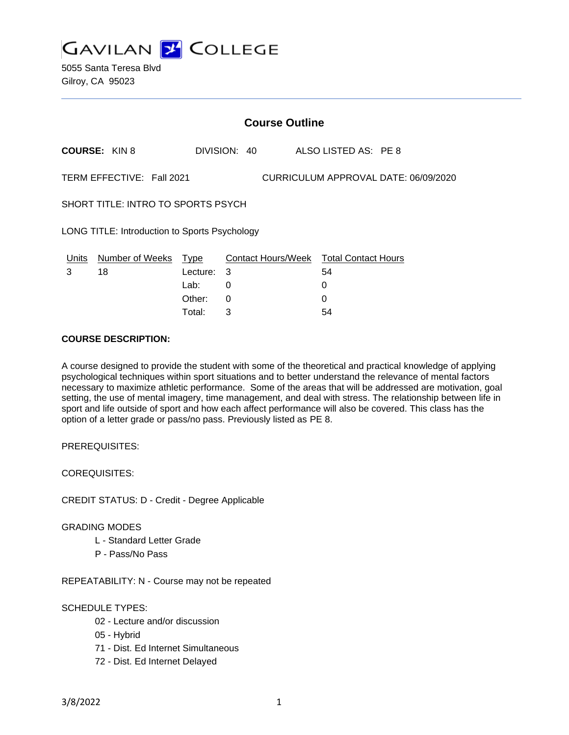

|                                                                   | <b>Course Outline</b> |                  |              |                                              |  |  |
|-------------------------------------------------------------------|-----------------------|------------------|--------------|----------------------------------------------|--|--|
|                                                                   | <b>COURSE: KIN 8</b>  |                  | DIVISION: 40 | ALSO LISTED AS: PE 8                         |  |  |
| TERM EFFECTIVE: Fall 2021<br>CURRICULUM APPROVAL DATE: 06/09/2020 |                       |                  |              |                                              |  |  |
| SHORT TITLE: INTRO TO SPORTS PSYCH                                |                       |                  |              |                                              |  |  |
| LONG TITLE: Introduction to Sports Psychology                     |                       |                  |              |                                              |  |  |
| Units<br>3                                                        | Number of Weeks<br>18 | Type<br>Lecture: | 3            | Contact Hours/Week Total Contact Hours<br>54 |  |  |
|                                                                   |                       | Lab:<br>Other:   | 0<br>0       | 0                                            |  |  |

Total: 3 54

### **COURSE DESCRIPTION:**

A course designed to provide the student with some of the theoretical and practical knowledge of applying psychological techniques within sport situations and to better understand the relevance of mental factors necessary to maximize athletic performance. Some of the areas that will be addressed are motivation, goal setting, the use of mental imagery, time management, and deal with stress. The relationship between life in sport and life outside of sport and how each affect performance will also be covered. This class has the option of a letter grade or pass/no pass. Previously listed as PE 8.

PREREQUISITES:

COREQUISITES:

CREDIT STATUS: D - Credit - Degree Applicable

#### GRADING MODES

- L Standard Letter Grade
- P Pass/No Pass

REPEATABILITY: N - Course may not be repeated

#### SCHEDULE TYPES:

- 02 Lecture and/or discussion
- 05 Hybrid
- 71 Dist. Ed Internet Simultaneous
- 72 Dist. Ed Internet Delayed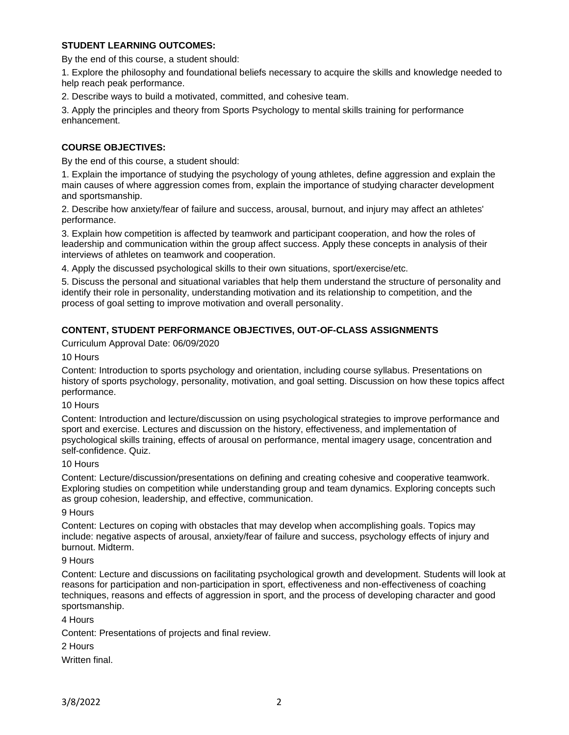## **STUDENT LEARNING OUTCOMES:**

By the end of this course, a student should:

1. Explore the philosophy and foundational beliefs necessary to acquire the skills and knowledge needed to help reach peak performance.

2. Describe ways to build a motivated, committed, and cohesive team.

3. Apply the principles and theory from Sports Psychology to mental skills training for performance enhancement.

## **COURSE OBJECTIVES:**

By the end of this course, a student should:

1. Explain the importance of studying the psychology of young athletes, define aggression and explain the main causes of where aggression comes from, explain the importance of studying character development and sportsmanship.

2. Describe how anxiety/fear of failure and success, arousal, burnout, and injury may affect an athletes' performance.

3. Explain how competition is affected by teamwork and participant cooperation, and how the roles of leadership and communication within the group affect success. Apply these concepts in analysis of their interviews of athletes on teamwork and cooperation.

4. Apply the discussed psychological skills to their own situations, sport/exercise/etc.

5. Discuss the personal and situational variables that help them understand the structure of personality and identify their role in personality, understanding motivation and its relationship to competition, and the process of goal setting to improve motivation and overall personality.

# **CONTENT, STUDENT PERFORMANCE OBJECTIVES, OUT-OF-CLASS ASSIGNMENTS**

Curriculum Approval Date: 06/09/2020

#### 10 Hours

Content: Introduction to sports psychology and orientation, including course syllabus. Presentations on history of sports psychology, personality, motivation, and goal setting. Discussion on how these topics affect performance.

#### 10 Hours

Content: Introduction and lecture/discussion on using psychological strategies to improve performance and sport and exercise. Lectures and discussion on the history, effectiveness, and implementation of psychological skills training, effects of arousal on performance, mental imagery usage, concentration and self-confidence. Quiz.

#### 10 Hours

Content: Lecture/discussion/presentations on defining and creating cohesive and cooperative teamwork. Exploring studies on competition while understanding group and team dynamics. Exploring concepts such as group cohesion, leadership, and effective, communication.

#### 9 Hours

Content: Lectures on coping with obstacles that may develop when accomplishing goals. Topics may include: negative aspects of arousal, anxiety/fear of failure and success, psychology effects of injury and burnout. Midterm.

#### 9 Hours

Content: Lecture and discussions on facilitating psychological growth and development. Students will look at reasons for participation and non-participation in sport, effectiveness and non-effectiveness of coaching techniques, reasons and effects of aggression in sport, and the process of developing character and good sportsmanship.

#### 4 Hours

Content: Presentations of projects and final review.

2 Hours

Written final.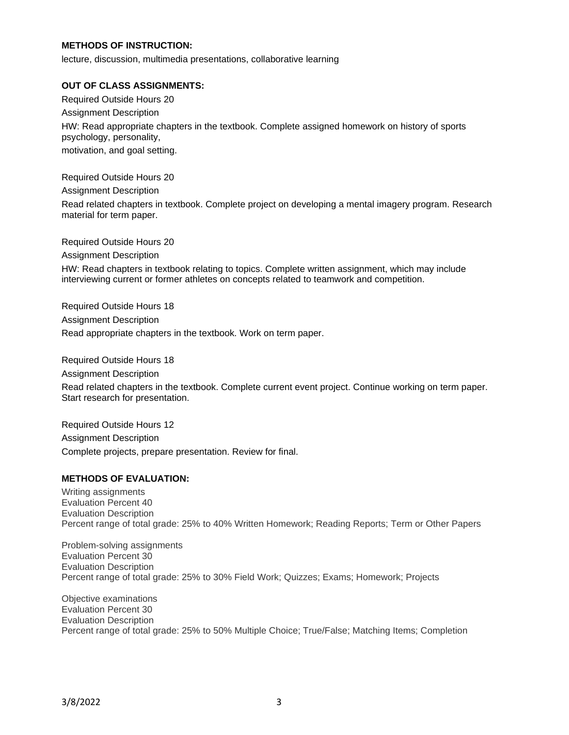## **METHODS OF INSTRUCTION:**

lecture, discussion, multimedia presentations, collaborative learning

#### **OUT OF CLASS ASSIGNMENTS:**

Required Outside Hours 20 Assignment Description HW: Read appropriate chapters in the textbook. Complete assigned homework on history of sports psychology, personality, motivation, and goal setting.

Required Outside Hours 20

Assignment Description

Read related chapters in textbook. Complete project on developing a mental imagery program. Research material for term paper.

Required Outside Hours 20

Assignment Description

HW: Read chapters in textbook relating to topics. Complete written assignment, which may include interviewing current or former athletes on concepts related to teamwork and competition.

Required Outside Hours 18 Assignment Description Read appropriate chapters in the textbook. Work on term paper.

Required Outside Hours 18

Assignment Description

Read related chapters in the textbook. Complete current event project. Continue working on term paper. Start research for presentation.

Required Outside Hours 12 Assignment Description Complete projects, prepare presentation. Review for final.

#### **METHODS OF EVALUATION:**

Writing assignments Evaluation Percent 40 Evaluation Description Percent range of total grade: 25% to 40% Written Homework; Reading Reports; Term or Other Papers

Problem-solving assignments Evaluation Percent 30 Evaluation Description Percent range of total grade: 25% to 30% Field Work; Quizzes; Exams; Homework; Projects

Objective examinations Evaluation Percent 30 Evaluation Description Percent range of total grade: 25% to 50% Multiple Choice; True/False; Matching Items; Completion